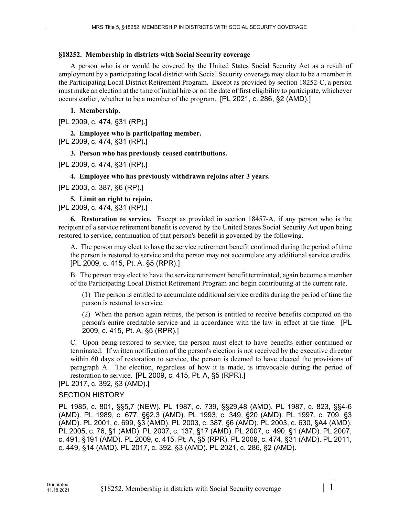## **§18252. Membership in districts with Social Security coverage**

A person who is or would be covered by the United States Social Security Act as a result of employment by a participating local district with Social Security coverage may elect to be a member in the Participating Local District Retirement Program. Except as provided by section 18252-C, a person must make an election at the time of initial hire or on the date of first eligibility to participate, whichever occurs earlier, whether to be a member of the program. [PL 2021, c. 286, §2 (AMD).]

## **1. Membership.**

[PL 2009, c. 474, §31 (RP).]

**2. Employee who is participating member.**  [PL 2009, c. 474, §31 (RP).]

**3. Person who has previously ceased contributions.** 

[PL 2009, c. 474, §31 (RP).]

## **4. Employee who has previously withdrawn rejoins after 3 years.**

[PL 2003, c. 387, §6 (RP).]

**5. Limit on right to rejoin.** 

[PL 2009, c. 474, §31 (RP).]

**6. Restoration to service.** Except as provided in section 18457‑A, if any person who is the recipient of a service retirement benefit is covered by the United States Social Security Act upon being restored to service, continuation of that person's benefit is governed by the following.

A. The person may elect to have the service retirement benefit continued during the period of time the person is restored to service and the person may not accumulate any additional service credits. [PL 2009, c. 415, Pt. A, §5 (RPR).]

B. The person may elect to have the service retirement benefit terminated, again become a member of the Participating Local District Retirement Program and begin contributing at the current rate.

(1) The person is entitled to accumulate additional service credits during the period of time the person is restored to service.

(2) When the person again retires, the person is entitled to receive benefits computed on the person's entire creditable service and in accordance with the law in effect at the time. [PL 2009, c. 415, Pt. A, §5 (RPR).]

C. Upon being restored to service, the person must elect to have benefits either continued or terminated. If written notification of the person's election is not received by the executive director within 60 days of restoration to service, the person is deemed to have elected the provisions of paragraph A. The election, regardless of how it is made, is irrevocable during the period of restoration to service. [PL 2009, c. 415, Pt. A, §5 (RPR).]

[PL 2017, c. 392, §3 (AMD).]

## SECTION HISTORY

PL 1985, c. 801, §§5,7 (NEW). PL 1987, c. 739, §§29,48 (AMD). PL 1987, c. 823, §§4-6 (AMD). PL 1989, c. 677, §§2,3 (AMD). PL 1993, c. 349, §20 (AMD). PL 1997, c. 709, §3 (AMD). PL 2001, c. 699, §3 (AMD). PL 2003, c. 387, §6 (AMD). PL 2003, c. 630, §A4 (AMD). PL 2005, c. 76, §1 (AMD). PL 2007, c. 137, §17 (AMD). PL 2007, c. 490, §1 (AMD). PL 2007, c. 491, §191 (AMD). PL 2009, c. 415, Pt. A, §5 (RPR). PL 2009, c. 474, §31 (AMD). PL 2011, c. 449, §14 (AMD). PL 2017, c. 392, §3 (AMD). PL 2021, c. 286, §2 (AMD).